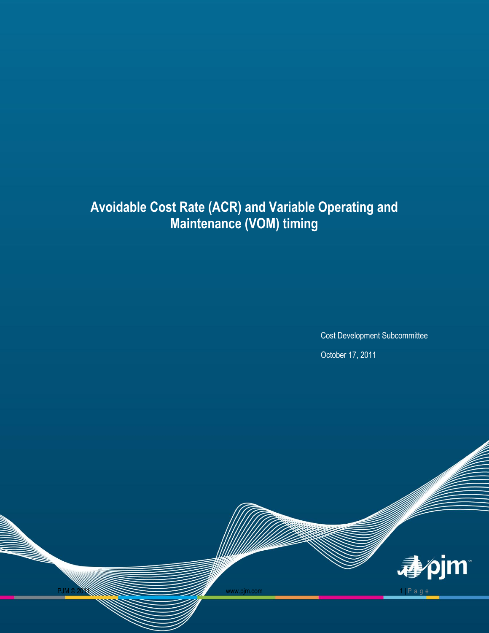# **Avoidable Cost Rate (ACR) and Variable Operating and Maintenance (VOM) timing**

Cost Development Subcommittee

October 17, 2011

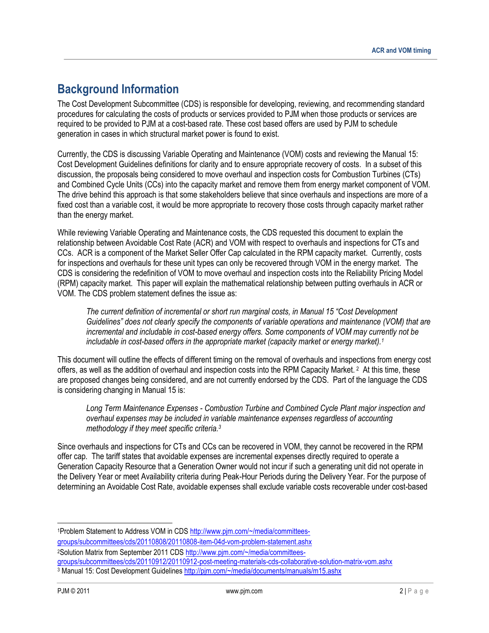# **Background Information**

The Cost Development Subcommittee (CDS) is responsible for developing, reviewing, and recommending standard procedures for calculating the costs of products or services provided to PJM when those products or services are required to be provided to PJM at a cost-based rate. These cost based offers are used by PJM to schedule generation in cases in which structural market power is found to exist.

Currently, the CDS is discussing Variable Operating and Maintenance (VOM) costs and reviewing the Manual 15: Cost Development Guidelines definitions for clarity and to ensure appropriate recovery of costs. In a subset of this discussion, the proposals being considered to move overhaul and inspection costs for Combustion Turbines (CTs) and Combined Cycle Units (CCs) into the capacity market and remove them from energy market component of VOM. The drive behind this approach is that some stakeholders believe that since overhauls and inspections are more of a fixed cost than a variable cost, it would be more appropriate to recovery those costs through capacity market rather than the energy market.

While reviewing Variable Operating and Maintenance costs, the CDS requested this document to explain the relationship between Avoidable Cost Rate (ACR) and VOM with respect to overhauls and inspections for CTs and CCs. ACR is a component of the Market Seller Offer Cap calculated in the RPM capacity market. Currently, costs for inspections and overhauls for these unit types can only be recovered through VOM in the energy market. The CDS is considering the redefinition of VOM to move overhaul and inspection costs into the Reliability Pricing Model (RPM) capacity market. This paper will explain the mathematical relationship between putting overhauls in ACR or VOM. The CDS problem statement defines the issue as:

*The current definition of incremental or short run marginal costs, in Manual 15 "Cost Development Guidelines" does not clearly specify the components of variable operations and maintenance (VOM) that are incremental and includable in cost-based energy offers. Some components of VOM may currently not be includable in cost-based offers in the appropriate market (capacity market or energy market).<sup>1</sup>*

This document will outline the effects of different timing on the removal of overhauls and inspections from energy cost offers, as well as the addition of overhaul and inspection costs into the RPM Capacity Market.<sup>2</sup> At this time, these are proposed changes being considered, and are not currently endorsed by the CDS. Part of the language the CDS is considering changing in Manual 15 is:

*Long Term Maintenance Expenses - Combustion Turbine and Combined Cycle Plant major inspection and overhaul expenses may be included in variable maintenance expenses regardless of accounting methodology if they meet specific criteria.<sup>3</sup>*

Since overhauls and inspections for CTs and CCs can be recovered in VOM, they cannot be recovered in the RPM offer cap. The tariff states that avoidable expenses are incremental expenses directly required to operate a Generation Capacity Resource that a Generation Owner would not incur if such a generating unit did not operate in the Delivery Year or meet Availability criteria during Peak-Hour Periods during the Delivery Year. For the purpose of determining an Avoidable Cost Rate, avoidable expenses shall exclude variable costs recoverable under cost-based

l 1Problem Statement to Address VOM in CDS [http://www.pjm.com/~/media/committees-](http://www.pjm.com/~/media/committees-groups/subcommittees/cds/20110808/20110808-item-04d-vom-problem-statement.ashx)

[groups/subcommittees/cds/20110808/20110808-item-04d-vom-problem-statement.ashx](http://www.pjm.com/~/media/committees-groups/subcommittees/cds/20110808/20110808-item-04d-vom-problem-statement.ashx)

<sup>2</sup>Solution Matrix from September 2011 CD[S http://www.pjm.com/~/media/committees-](http://www.pjm.com/~/media/committees-groups/subcommittees/cds/20110912/20110912-post-meeting-materials-cds-collaborative-solution-matrix-vom.ashx)

[groups/subcommittees/cds/20110912/20110912-post-meeting-materials-cds-collaborative-solution-matrix-vom.ashx](http://www.pjm.com/~/media/committees-groups/subcommittees/cds/20110912/20110912-post-meeting-materials-cds-collaborative-solution-matrix-vom.ashx)

<sup>&</sup>lt;sup>3</sup> Manual 15: Cost Development Guidelines<http://pjm.com/~/media/documents/manuals/m15.ashx>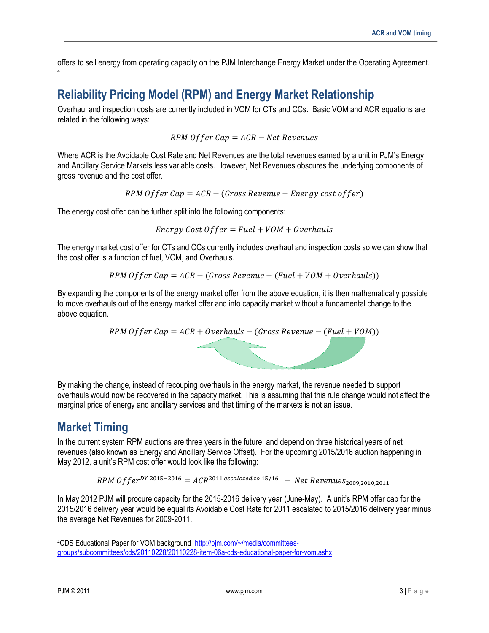offers to sell energy from operating capacity on the PJM Interchange Energy Market under the Operating Agreement. 4

## **Reliability Pricing Model (RPM) and Energy Market Relationship**

Overhaul and inspection costs are currently included in VOM for CTs and CCs. Basic VOM and ACR equations are related in the following ways:

 $RPM$  Offer  $Can = ACR - Net$  Revenues

Where ACR is the Avoidable Cost Rate and Net Revenues are the total revenues earned by a unit in PJM's Energy and Ancillary Service Markets less variable costs. However, Net Revenues obscures the underlying components of gross revenue and the cost offer.

RPM Offer Cap =  $ACR - (Gross Revenue - Energy cost offer)$ 

The energy cost offer can be further split into the following components:

*Energy Cost Offer* =  $Fuel + VOM + Overhaus$ 

The energy market cost offer for CTs and CCs currently includes overhaul and inspection costs so we can show that the cost offer is a function of fuel, VOM, and Overhauls.

RPM Offer Cap =  $ACR - (Gross Revenue - (Fuel + VOM + Overhaus))$ 

By expanding the components of the energy market offer from the above equation, it is then mathematically possible to move overhauls out of the energy market offer and into capacity market without a fundamental change to the above equation.

$$
RPM\;Offer\;Cap = ACR + Overhaus - (Gross\; Revenue - (Full + VOM))
$$

By making the change, instead of recouping overhauls in the energy market, the revenue needed to support overhauls would now be recovered in the capacity market. This is assuming that this rule change would not affect the marginal price of energy and ancillary services and that timing of the markets is not an issue.

### **Market Timing**

In the current system RPM auctions are three years in the future, and depend on three historical years of net revenues (also known as Energy and Ancillary Service Offset). For the upcoming 2015/2016 auction happening in May 2012, a unit's RPM cost offer would look like the following:

RPM Offer<sup>DY 2015-2016</sup> =  $ACR^{2011}$  escalated to 15/16 - Net Revenues<sub>2009 2010</sub> 2011

In May 2012 PJM will procure capacity for the 2015-2016 delivery year (June-May). A unit's RPM offer cap for the 2015/2016 delivery year would be equal its Avoidable Cost Rate for 2011 escalated to 2015/2016 delivery year minus the average Net Revenues for 2009-2011.

l

<sup>4</sup>CDS Educational Paper for VOM background [http://pjm.com/~/media/committees](http://pjm.com/~/media/committees-groups/subcommittees/cds/20110228/20110228-item-06a-cds-educational-paper-for-vom.ashx)[groups/subcommittees/cds/20110228/20110228-item-06a-cds-educational-paper-for-vom.ashx](http://pjm.com/~/media/committees-groups/subcommittees/cds/20110228/20110228-item-06a-cds-educational-paper-for-vom.ashx)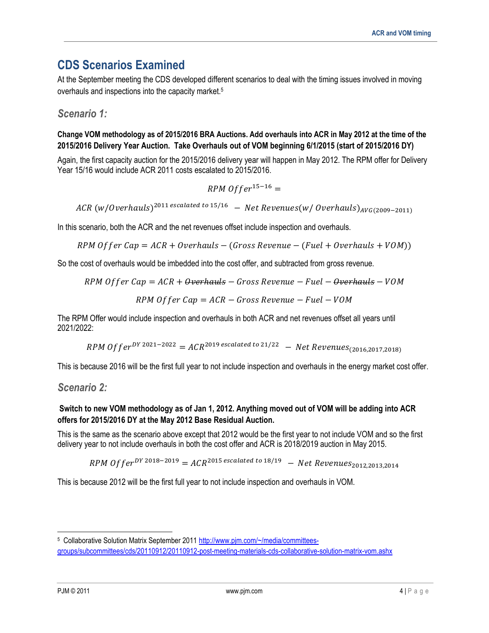## **CDS Scenarios Examined**

At the September meeting the CDS developed different scenarios to deal with the timing issues involved in moving overhauls and inspections into the capacity market.<sup>5</sup>

*Scenario 1:* 

#### **Change VOM methodology as of 2015/2016 BRA Auctions. Add overhauls into ACR in May 2012 at the time of the 2015/2016 Delivery Year Auction. Take Overhauls out of VOM beginning 6/1/2015 (start of 2015/2016 DY)**

Again, the first capacity auction for the 2015/2016 delivery year will happen in May 2012. The RPM offer for Delivery Year 15/16 would include ACR 2011 costs escalated to 2015/2016.

$$
RPM\;Offer^{15-16} =
$$

ACR (w/Overhauls)<sup>2011</sup> escalated to 15/16 – Net Revenues(w/Overhauls)<sub>AVG(2009-2011)</sub>

In this scenario, both the ACR and the net revenues offset include inspection and overhauls.

RPM Offer Cap =  $ACR + Overhaus - (Gross Revenue - (Full + Overhaus + VOM))$ 

So the cost of overhauls would be imbedded into the cost offer, and subtracted from gross revenue.

$$
RPM\;Offer\;Cap=ACR+\theta\textit{verhauls}-Gross\;Review=Fuel-\theta\textit{verhauls}-VOM
$$

$$
RPM\;Offer\;Cap = ACR - Gross\;Review = Fuel - VOM
$$

The RPM Offer would include inspection and overhauls in both ACR and net revenues offset all years until 2021/2022:

RPM Offer<sup>DY 2021-2022</sup> =  $ACR^{2019}$  escalated to 21/22 – Net Revenues<sub>(2016,2017,2018)</sub>

This is because 2016 will be the first full year to not include inspection and overhauls in the energy market cost offer.

*Scenario 2:* 

#### **Switch to new VOM methodology as of Jan 1, 2012. Anything moved out of VOM will be adding into ACR offers for 2015/2016 DY at the May 2012 Base Residual Auction.**

This is the same as the scenario above except that 2012 would be the first year to not include VOM and so the first delivery year to not include overhauls in both the cost offer and ACR is 2018/2019 auction in May 2015.

RPM Offer<sup>DY 2018-2019</sup> =  $ACR^{2015}$  escalated to 18/19 - Net Revenues<sub>2012,2013,2014</sub>

This is because 2012 will be the first full year to not include inspection and overhauls in VOM.

l <sup>5</sup> Collaborative Solution Matrix September 2011 [http://www.pjm.com/~/media/committees](http://www.pjm.com/~/media/committees-groups/subcommittees/cds/20110912/20110912-post-meeting-materials-cds-collaborative-solution-matrix-vom.ashx)[groups/subcommittees/cds/20110912/20110912-post-meeting-materials-cds-collaborative-solution-matrix-vom.ashx](http://www.pjm.com/~/media/committees-groups/subcommittees/cds/20110912/20110912-post-meeting-materials-cds-collaborative-solution-matrix-vom.ashx)